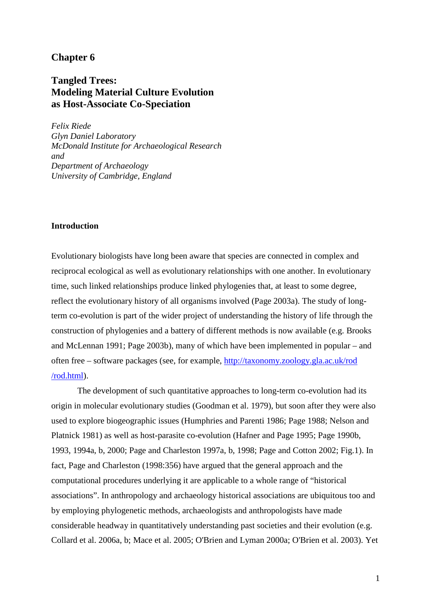## **Chapter 6**

# **Tangled Trees: Modeling Material Culture Evolution as Host-Associate Co-Speciation**

*Felix Riede Glyn Daniel Laboratory McDonald Institute for Archaeological Research and Department of Archaeology University of Cambridge, England*

### **Introduction**

Evolutionary biologists have long been aware that species are connected in complex and reciprocal ecological as well as evolutionary relationships with one another. In evolutionary time, such linked relationships produce linked phylogenies that, at least to some degree, reflect the evolutionary history of all organisms involved (Page 2003a). The study of longterm co-evolution is part of the wider project of understanding the history of life through the construction of phylogenies and a battery of different methods is now available (e.g. Brooks and McLennan 1991; Page 2003b), many of which have been implemented in popular – and often free – software packages (see, for example, http://taxonomy.zoology.gla.ac.uk/rod /rod.html).

The development of such quantitative approaches to long-term co-evolution had its origin in molecular evolutionary studies (Goodman et al. 1979), but soon after they were also used to explore biogeographic issues (Humphries and Parenti 1986; Page 1988; Nelson and Platnick 1981) as well as host-parasite co-evolution (Hafner and Page 1995; Page 1990b, 1993, 1994a, b, 2000; Page and Charleston 1997a, b, 1998; Page and Cotton 2002; Fig.1). In fact, Page and Charleston (1998:356) have argued that the general approach and the computational procedures underlying it are applicable to a whole range of "historical associations". In anthropology and archaeology historical associations are ubiquitous too and by employing phylogenetic methods, archaeologists and anthropologists have made considerable headway in quantitatively understanding past societies and their evolution (e.g. Collard et al. 2006a, b; Mace et al. 2005; O'Brien and Lyman 2000a; O'Brien et al. 2003). Yet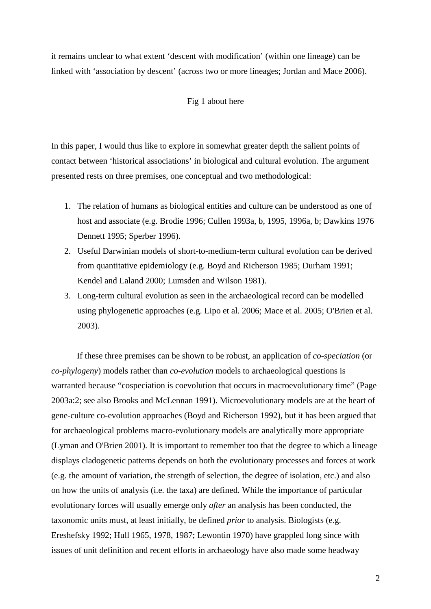it remains unclear to what extent 'descent with modification' (within one lineage) can be linked with 'association by descent' (across two or more lineages; Jordan and Mace 2006).

### Fig 1 about here

In this paper, I would thus like to explore in somewhat greater depth the salient points of contact between 'historical associations' in biological and cultural evolution. The argument presented rests on three premises, one conceptual and two methodological:

- 1. The relation of humans as biological entities and culture can be understood as one of host and associate (e.g. Brodie 1996; Cullen 1993a, b, 1995, 1996a, b; Dawkins 1976 Dennett 1995; Sperber 1996).
- 2. Useful Darwinian models of short-to-medium-term cultural evolution can be derived from quantitative epidemiology (e.g. Boyd and Richerson 1985; Durham 1991; Kendel and Laland 2000; Lumsden and Wilson 1981).
- 3. Long-term cultural evolution as seen in the archaeological record can be modelled using phylogenetic approaches (e.g. Lipo et al. 2006; Mace et al. 2005; O'Brien et al. 2003).

If these three premises can be shown to be robust, an application of *co-speciation* (or *co-phylogeny*) models rather than *co-evolution* models to archaeological questions is warranted because "cospeciation is coevolution that occurs in macroevolutionary time" (Page 2003a:2; see also Brooks and McLennan 1991). Microevolutionary models are at the heart of gene-culture co-evolution approaches (Boyd and Richerson 1992), but it has been argued that for archaeological problems macro-evolutionary models are analytically more appropriate (Lyman and O'Brien 2001). It is important to remember too that the degree to which a lineage displays cladogenetic patterns depends on both the evolutionary processes and forces at work (e.g. the amount of variation, the strength of selection, the degree of isolation, etc.) and also on how the units of analysis (i.e. the taxa) are defined. While the importance of particular evolutionary forces will usually emerge only *after* an analysis has been conducted, the taxonomic units must, at least initially, be defined *prior* to analysis. Biologists (e.g. Ereshefsky 1992; Hull 1965, 1978, 1987; Lewontin 1970) have grappled long since with issues of unit definition and recent efforts in archaeology have also made some headway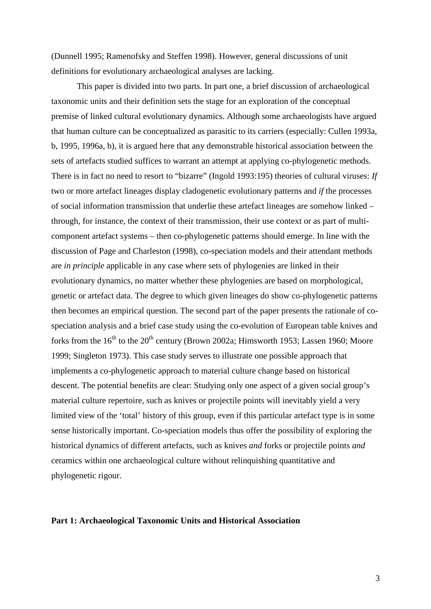(Dunnell 1995; Ramenofsky and Steffen 1998). However, general discussions of unit definitions for evolutionary archaeological analyses are lacking.

This paper is divided into two parts. In part one, a brief discussion of archaeological taxonomic units and their definition sets the stage for an exploration of the conceptual premise of linked cultural evolutionary dynamics. Although some archaeologists have argued that human culture can be conceptualized as parasitic to its carriers (especially: Cullen 1993a, b, 1995, 1996a, b), it is argued here that any demonstrable historical association between the sets of artefacts studied suffices to warrant an attempt at applying co-phylogenetic methods. There is in fact no need to resort to "bizarre" (Ingold 1993:195) theories of cultural viruses: *If* two or more artefact lineages display cladogenetic evolutionary patterns and *if* the processes of social information transmission that underlie these artefact lineages are somehow linked – through, for instance, the context of their transmission, their use context or as part of multicomponent artefact systems – then co-phylogenetic patterns should emerge. In line with the discussion of Page and Charleston (1998), co-speciation models and their attendant methods are *in principle* applicable in any case where sets of phylogenies are linked in their evolutionary dynamics, no matter whether these phylogenies are based on morphological, genetic or artefact data. The degree to which given lineages do show co-phylogenetic patterns then becomes an empirical question. The second part of the paper presents the rationale of cospeciation analysis and a brief case study using the co-evolution of European table knives and forks from the  $16<sup>th</sup>$  to the  $20<sup>th</sup>$  century (Brown 2002a; Himsworth 1953; Lassen 1960; Moore 1999; Singleton 1973). This case study serves to illustrate one possible approach that implements a co-phylogenetic approach to material culture change based on historical descent. The potential benefits are clear: Studying only one aspect of a given social group's material culture repertoire, such as knives or projectile points will inevitably yield a very limited view of the 'total' history of this group, even if this particular artefact type is in some sense historically important. Co-speciation models thus offer the possibility of exploring the historical dynamics of different artefacts, such as knives *and* forks or projectile points *and* ceramics within one archaeological culture without relinquishing quantitative and phylogenetic rigour.

### **Part 1: Archaeological Taxonomic Units and Historical Association**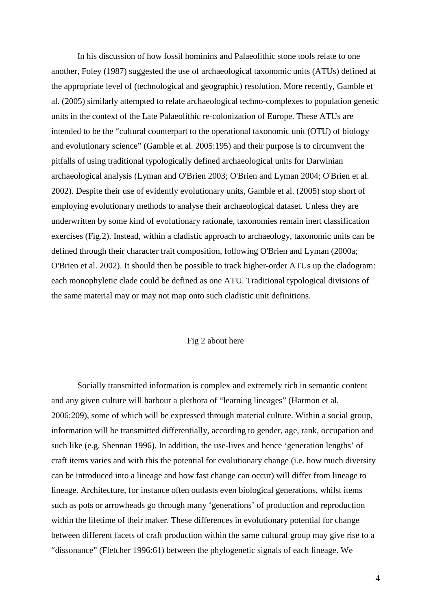In his discussion of how fossil hominins and Palaeolithic stone tools relate to one another, Foley (1987) suggested the use of archaeological taxonomic units (ATUs) defined at the appropriate level of (technological and geographic) resolution. More recently, Gamble et al. (2005) similarly attempted to relate archaeological techno-complexes to population genetic units in the context of the Late Palaeolithic re-colonization of Europe. These ATUs are intended to be the "cultural counterpart to the operational taxonomic unit (OTU) of biology and evolutionary science" (Gamble et al. 2005:195) and their purpose is to circumvent the pitfalls of using traditional typologically defined archaeological units for Darwinian archaeological analysis (Lyman and O'Brien 2003; O'Brien and Lyman 2004; O'Brien et al. 2002). Despite their use of evidently evolutionary units, Gamble et al. (2005) stop short of employing evolutionary methods to analyse their archaeological dataset. Unless they are underwritten by some kind of evolutionary rationale, taxonomies remain inert classification exercises (Fig.2). Instead, within a cladistic approach to archaeology, taxonomic units can be defined through their character trait composition, following O'Brien and Lyman (2000a; O'Brien et al. 2002). It should then be possible to track higher-order ATUs up the cladogram: each monophyletic clade could be defined as one ATU. Traditional typological divisions of the same material may or may not map onto such cladistic unit definitions.

### Fig 2 about here

Socially transmitted information is complex and extremely rich in semantic content and any given culture will harbour a plethora of "learning lineages" (Harmon et al. 2006:209), some of which will be expressed through material culture. Within a social group, information will be transmitted differentially, according to gender, age, rank, occupation and such like (e.g. Shennan 1996). In addition, the use-lives and hence 'generation lengths' of craft items varies and with this the potential for evolutionary change (i.e. how much diversity can be introduced into a lineage and how fast change can occur) will differ from lineage to lineage. Architecture, for instance often outlasts even biological generations, whilst items such as pots or arrowheads go through many 'generations' of production and reproduction within the lifetime of their maker. These differences in evolutionary potential for change between different facets of craft production within the same cultural group may give rise to a "dissonance" (Fletcher 1996:61) between the phylogenetic signals of each lineage. We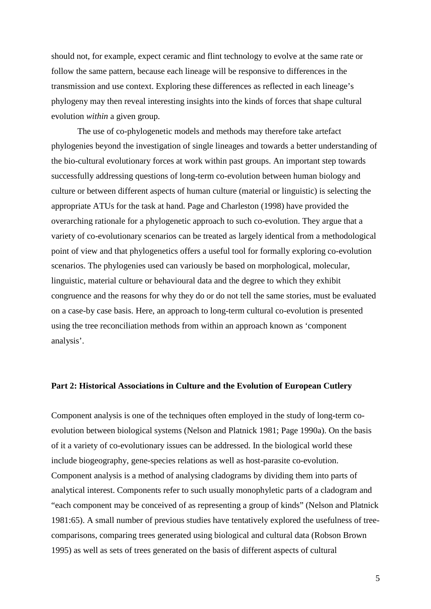should not, for example, expect ceramic and flint technology to evolve at the same rate or follow the same pattern, because each lineage will be responsive to differences in the transmission and use context. Exploring these differences as reflected in each lineage's phylogeny may then reveal interesting insights into the kinds of forces that shape cultural evolution *within* a given group.

The use of co-phylogenetic models and methods may therefore take artefact phylogenies beyond the investigation of single lineages and towards a better understanding of the bio-cultural evolutionary forces at work within past groups. An important step towards successfully addressing questions of long-term co-evolution between human biology and culture or between different aspects of human culture (material or linguistic) is selecting the appropriate ATUs for the task at hand. Page and Charleston (1998) have provided the overarching rationale for a phylogenetic approach to such co-evolution. They argue that a variety of co-evolutionary scenarios can be treated as largely identical from a methodological point of view and that phylogenetics offers a useful tool for formally exploring co-evolution scenarios. The phylogenies used can variously be based on morphological, molecular, linguistic, material culture or behavioural data and the degree to which they exhibit congruence and the reasons for why they do or do not tell the same stories, must be evaluated on a case-by case basis. Here, an approach to long-term cultural co-evolution is presented using the tree reconciliation methods from within an approach known as 'component analysis'.

### **Part 2: Historical Associations in Culture and the Evolution of European Cutlery**

Component analysis is one of the techniques often employed in the study of long-term coevolution between biological systems (Nelson and Platnick 1981; Page 1990a). On the basis of it a variety of co-evolutionary issues can be addressed. In the biological world these include biogeography, gene-species relations as well as host-parasite co-evolution. Component analysis is a method of analysing cladograms by dividing them into parts of analytical interest. Components refer to such usually monophyletic parts of a cladogram and "each component may be conceived of as representing a group of kinds" (Nelson and Platnick 1981:65). A small number of previous studies have tentatively explored the usefulness of treecomparisons, comparing trees generated using biological and cultural data (Robson Brown 1995) as well as sets of trees generated on the basis of different aspects of cultural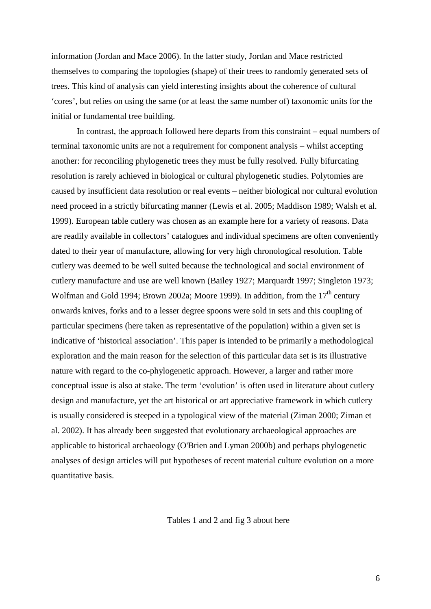information (Jordan and Mace 2006). In the latter study, Jordan and Mace restricted themselves to comparing the topologies (shape) of their trees to randomly generated sets of trees. This kind of analysis can yield interesting insights about the coherence of cultural 'cores', but relies on using the same (or at least the same number of) taxonomic units for the initial or fundamental tree building.

In contrast, the approach followed here departs from this constraint – equal numbers of terminal taxonomic units are not a requirement for component analysis – whilst accepting another: for reconciling phylogenetic trees they must be fully resolved. Fully bifurcating resolution is rarely achieved in biological or cultural phylogenetic studies. Polytomies are caused by insufficient data resolution or real events – neither biological nor cultural evolution need proceed in a strictly bifurcating manner (Lewis et al. 2005; Maddison 1989; Walsh et al. 1999). European table cutlery was chosen as an example here for a variety of reasons. Data are readily available in collectors' catalogues and individual specimens are often conveniently dated to their year of manufacture, allowing for very high chronological resolution. Table cutlery was deemed to be well suited because the technological and social environment of cutlery manufacture and use are well known (Bailey 1927; Marquardt 1997; Singleton 1973; Wolfman and Gold 1994; Brown 2002a; Moore 1999). In addition, from the  $17<sup>th</sup>$  century onwards knives, forks and to a lesser degree spoons were sold in sets and this coupling of particular specimens (here taken as representative of the population) within a given set is indicative of 'historical association'. This paper is intended to be primarily a methodological exploration and the main reason for the selection of this particular data set is its illustrative nature with regard to the co-phylogenetic approach. However, a larger and rather more conceptual issue is also at stake. The term 'evolution' is often used in literature about cutlery design and manufacture, yet the art historical or art appreciative framework in which cutlery is usually considered is steeped in a typological view of the material (Ziman 2000; Ziman et al. 2002). It has already been suggested that evolutionary archaeological approaches are applicable to historical archaeology (O'Brien and Lyman 2000b) and perhaps phylogenetic analyses of design articles will put hypotheses of recent material culture evolution on a more quantitative basis.

Tables 1 and 2 and fig 3 about here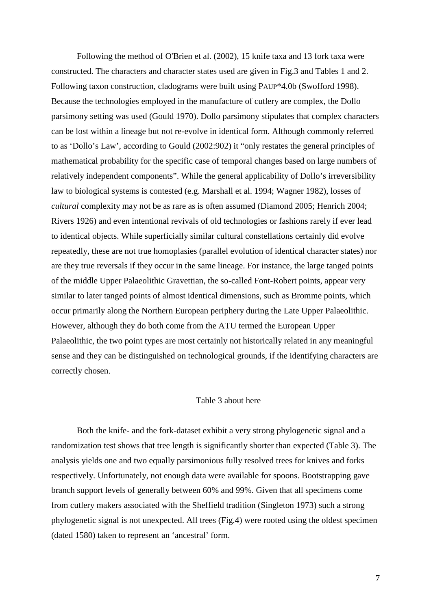Following the method of O'Brien et al. (2002), 15 knife taxa and 13 fork taxa were constructed. The characters and character states used are given in Fig.3 and Tables 1 and 2. Following taxon construction, cladograms were built using PAUP\*4.0b (Swofford 1998). Because the technologies employed in the manufacture of cutlery are complex, the Dollo parsimony setting was used (Gould 1970). Dollo parsimony stipulates that complex characters can be lost within a lineage but not re-evolve in identical form. Although commonly referred to as 'Dollo's Law', according to Gould (2002:902) it "only restates the general principles of mathematical probability for the specific case of temporal changes based on large numbers of relatively independent components". While the general applicability of Dollo's irreversibility law to biological systems is contested (e.g. Marshall et al. 1994; Wagner 1982), losses of *cultural* complexity may not be as rare as is often assumed (Diamond 2005; Henrich 2004; Rivers 1926) and even intentional revivals of old technologies or fashions rarely if ever lead to identical objects. While superficially similar cultural constellations certainly did evolve repeatedly, these are not true homoplasies (parallel evolution of identical character states) nor are they true reversals if they occur in the same lineage. For instance, the large tanged points of the middle Upper Palaeolithic Gravettian, the so-called Font-Robert points, appear very similar to later tanged points of almost identical dimensions, such as Bromme points, which occur primarily along the Northern European periphery during the Late Upper Palaeolithic. However, although they do both come from the ATU termed the European Upper Palaeolithic, the two point types are most certainly not historically related in any meaningful sense and they can be distinguished on technological grounds, if the identifying characters are correctly chosen.

### Table 3 about here

Both the knife- and the fork-dataset exhibit a very strong phylogenetic signal and a randomization test shows that tree length is significantly shorter than expected (Table 3). The analysis yields one and two equally parsimonious fully resolved trees for knives and forks respectively. Unfortunately, not enough data were available for spoons. Bootstrapping gave branch support levels of generally between 60% and 99%. Given that all specimens come from cutlery makers associated with the Sheffield tradition (Singleton 1973) such a strong phylogenetic signal is not unexpected. All trees (Fig.4) were rooted using the oldest specimen (dated 1580) taken to represent an 'ancestral' form.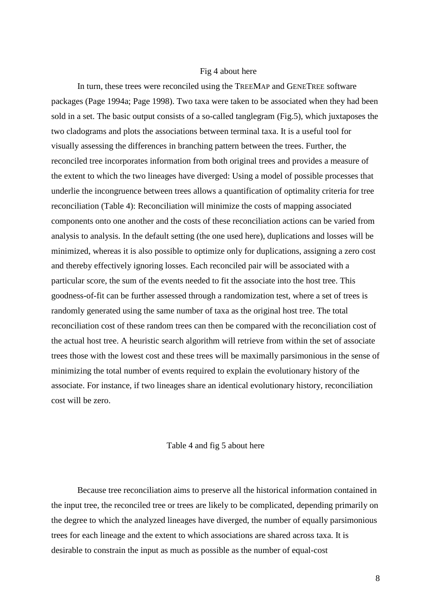### Fig 4 about here

In turn, these trees were reconciled using the TREEMAP and GENETREE software packages (Page 1994a; Page 1998). Two taxa were taken to be associated when they had been sold in a set. The basic output consists of a so-called tanglegram (Fig.5), which juxtaposes the two cladograms and plots the associations between terminal taxa. It is a useful tool for visually assessing the differences in branching pattern between the trees. Further, the reconciled tree incorporates information from both original trees and provides a measure of the extent to which the two lineages have diverged: Using a model of possible processes that underlie the incongruence between trees allows a quantification of optimality criteria for tree reconciliation (Table 4): Reconciliation will minimize the costs of mapping associated components onto one another and the costs of these reconciliation actions can be varied from analysis to analysis. In the default setting (the one used here), duplications and losses will be minimized, whereas it is also possible to optimize only for duplications, assigning a zero cost and thereby effectively ignoring losses. Each reconciled pair will be associated with a particular score, the sum of the events needed to fit the associate into the host tree. This goodness-of-fit can be further assessed through a randomization test, where a set of trees is randomly generated using the same number of taxa as the original host tree. The total reconciliation cost of these random trees can then be compared with the reconciliation cost of the actual host tree. A heuristic search algorithm will retrieve from within the set of associate trees those with the lowest cost and these trees will be maximally parsimonious in the sense of minimizing the total number of events required to explain the evolutionary history of the associate. For instance, if two lineages share an identical evolutionary history, reconciliation cost will be zero.

#### Table 4 and fig 5 about here

Because tree reconciliation aims to preserve all the historical information contained in the input tree, the reconciled tree or trees are likely to be complicated, depending primarily on the degree to which the analyzed lineages have diverged, the number of equally parsimonious trees for each lineage and the extent to which associations are shared across taxa. It is desirable to constrain the input as much as possible as the number of equal-cost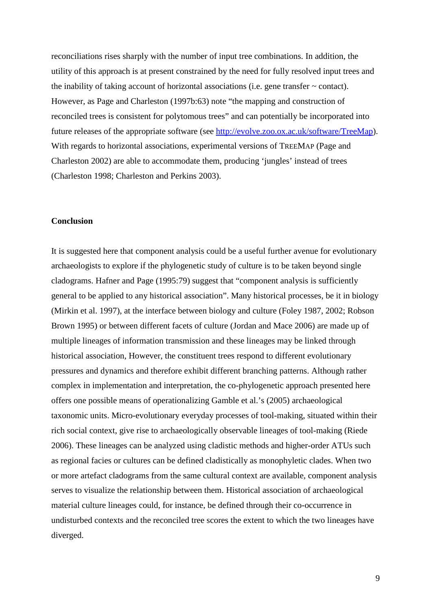reconciliations rises sharply with the number of input tree combinations. In addition, the utility of this approach is at present constrained by the need for fully resolved input trees and the inability of taking account of horizontal associations (i.e. gene transfer  $\sim$  contact). However, as Page and Charleston (1997b:63) note "the mapping and construction of reconciled trees is consistent for polytomous trees" and can potentially be incorporated into future releases of the appropriate software (see http://evolve.zoo.ox.ac.uk/software/TreeMap). With regards to horizontal associations, experimental versions of TREEMAP (Page and Charleston 2002) are able to accommodate them, producing 'jungles' instead of trees (Charleston 1998; Charleston and Perkins 2003).

### **Conclusion**

It is suggested here that component analysis could be a useful further avenue for evolutionary archaeologists to explore if the phylogenetic study of culture is to be taken beyond single cladograms. Hafner and Page (1995:79) suggest that "component analysis is sufficiently general to be applied to any historical association". Many historical processes, be it in biology (Mirkin et al. 1997), at the interface between biology and culture (Foley 1987, 2002; Robson Brown 1995) or between different facets of culture (Jordan and Mace 2006) are made up of multiple lineages of information transmission and these lineages may be linked through historical association, However, the constituent trees respond to different evolutionary pressures and dynamics and therefore exhibit different branching patterns. Although rather complex in implementation and interpretation, the co-phylogenetic approach presented here offers one possible means of operationalizing Gamble et al.'s (2005) archaeological taxonomic units. Micro-evolutionary everyday processes of tool-making, situated within their rich social context, give rise to archaeologically observable lineages of tool-making (Riede 2006). These lineages can be analyzed using cladistic methods and higher-order ATUs such as regional facies or cultures can be defined cladistically as monophyletic clades. When two or more artefact cladograms from the same cultural context are available, component analysis serves to visualize the relationship between them. Historical association of archaeological material culture lineages could, for instance, be defined through their co-occurrence in undisturbed contexts and the reconciled tree scores the extent to which the two lineages have diverged.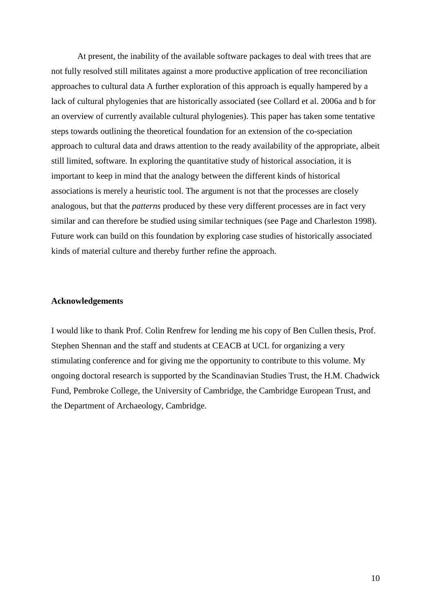At present, the inability of the available software packages to deal with trees that are not fully resolved still militates against a more productive application of tree reconciliation approaches to cultural data A further exploration of this approach is equally hampered by a lack of cultural phylogenies that are historically associated (see Collard et al. 2006a and b for an overview of currently available cultural phylogenies). This paper has taken some tentative steps towards outlining the theoretical foundation for an extension of the co-speciation approach to cultural data and draws attention to the ready availability of the appropriate, albeit still limited, software. In exploring the quantitative study of historical association, it is important to keep in mind that the analogy between the different kinds of historical associations is merely a heuristic tool. The argument is not that the processes are closely analogous, but that the *patterns* produced by these very different processes are in fact very similar and can therefore be studied using similar techniques (see Page and Charleston 1998). Future work can build on this foundation by exploring case studies of historically associated kinds of material culture and thereby further refine the approach.

#### **Acknowledgements**

I would like to thank Prof. Colin Renfrew for lending me his copy of Ben Cullen thesis, Prof. Stephen Shennan and the staff and students at CEACB at UCL for organizing a very stimulating conference and for giving me the opportunity to contribute to this volume. My ongoing doctoral research is supported by the Scandinavian Studies Trust, the H.M. Chadwick Fund, Pembroke College, the University of Cambridge, the Cambridge European Trust, and the Department of Archaeology, Cambridge.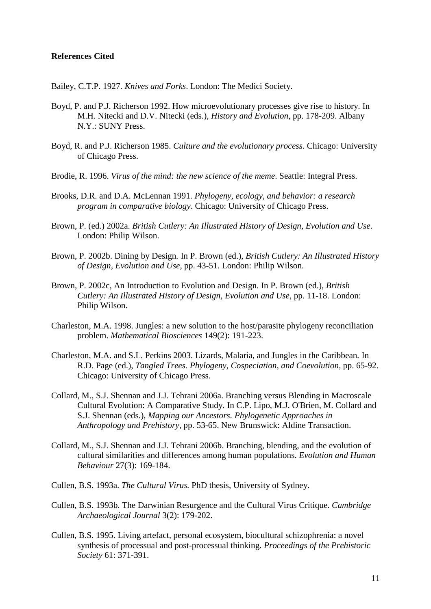# **References Cited**

Bailey, C.T.P. 1927. *Knives and Forks*. London: The Medici Society.

- Boyd, P. and P.J. Richerson 1992. How microevolutionary processes give rise to history*.* In M.H. Nitecki and D.V. Nitecki (eds.), *History and Evolution*, pp. 178-209. Albany N.Y.: SUNY Press.
- Boyd, R. and P.J. Richerson 1985. *Culture and the evolutionary process*. Chicago: University of Chicago Press.
- Brodie, R. 1996. *Virus of the mind: the new science of the meme*. Seattle: Integral Press.
- Brooks, D.R. and D.A. McLennan 1991. *Phylogeny, ecology, and behavior: a research program in comparative biology*. Chicago: University of Chicago Press.
- Brown, P. (ed.) 2002a. *British Cutlery: An Illustrated History of Design, Evolution and Use*. London: Philip Wilson.
- Brown, P. 2002b. Dining by Design*.* In P. Brown (ed.), *British Cutlery: An Illustrated History of Design, Evolution and Use*, pp. 43-51. London: Philip Wilson.
- Brown, P. 2002c, An Introduction to Evolution and Design*.* In P. Brown (ed.), *British Cutlery: An Illustrated History of Design, Evolution and Use*, pp. 11-18. London: Philip Wilson.
- Charleston, M.A. 1998. Jungles: a new solution to the host/parasite phylogeny reconciliation problem. *Mathematical Biosciences* 149(2): 191-223.
- Charleston, M.A. and S.L. Perkins 2003. Lizards, Malaria, and Jungles in the Caribbean*.* In R.D. Page (ed.), *Tangled Trees. Phylogeny, Cospeciation, and Coevolution*, pp. 65-92. Chicago: University of Chicago Press.
- Collard, M., S.J. Shennan and J.J. Tehrani 2006a. Branching versus Blending in Macroscale Cultural Evolution: A Comparative Study*.* In C.P. Lipo, M.J. O'Brien, M. Collard and S.J. Shennan (eds.), *Mapping our Ancestors. Phylogenetic Approaches in Anthropology and Prehistory*, pp. 53-65. New Brunswick: Aldine Transaction.
- Collard, M., S.J. Shennan and J.J. Tehrani 2006b. Branching, blending, and the evolution of cultural similarities and differences among human populations. *Evolution and Human Behaviour* 27(3): 169-184.
- Cullen, B.S. 1993a. *The Cultural Virus.* PhD thesis, University of Sydney.
- Cullen, B.S. 1993b. The Darwinian Resurgence and the Cultural Virus Critique. *Cambridge Archaeological Journal* 3(2): 179-202.
- Cullen, B.S. 1995. Living artefact, personal ecosystem, biocultural schizophrenia: a novel synthesis of processual and post-processual thinking. *Proceedings of the Prehistoric Society* 61: 371-391.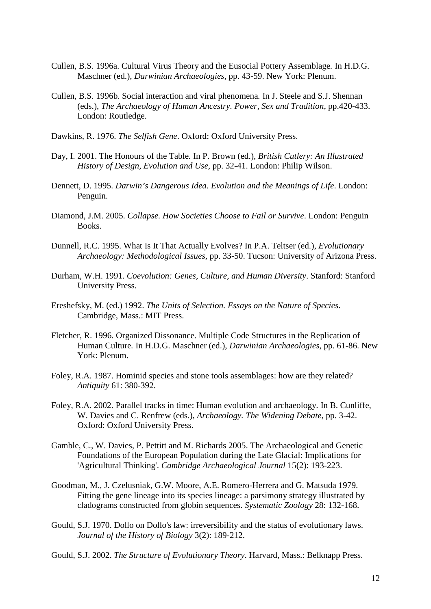- Cullen, B.S. 1996a. Cultural Virus Theory and the Eusocial Pottery Assemblage*.* In H.D.G. Maschner (ed.), *Darwinian Archaeologies*, pp. 43-59. New York: Plenum.
- Cullen, B.S. 1996b. Social interaction and viral phenomena*.* In J. Steele and S.J. Shennan (eds.), *The Archaeology of Human Ancestry. Power, Sex and Tradition*, pp.420-433. London: Routledge.
- Dawkins, R. 1976. *The Selfish Gene*. Oxford: Oxford University Press.
- Day, I. 2001. The Honours of the Table*.* In P. Brown (ed.), *British Cutlery: An Illustrated History of Design, Evolution and Use*, pp. 32-41. London: Philip Wilson.
- Dennett, D. 1995. *Darwin's Dangerous Idea. Evolution and the Meanings of Life*. London: Penguin.
- Diamond, J.M. 2005. *Collapse. How Societies Choose to Fail or Survive*. London: Penguin Books.
- Dunnell, R.C. 1995. What Is It That Actually Evolves? In P.A. Teltser (ed.), *Evolutionary Archaeology: Methodological Issues*, pp. 33-50. Tucson: University of Arizona Press.
- Durham, W.H. 1991. *Coevolution: Genes, Culture, and Human Diversity*. Stanford: Stanford University Press.
- Ereshefsky, M. (ed.) 1992. *The Units of Selection. Essays on the Nature of Species*. Cambridge, Mass.: MIT Press.
- Fletcher, R. 1996. Organized Dissonance. Multiple Code Structures in the Replication of Human Culture*.* In H.D.G. Maschner (ed.), *Darwinian Archaeologies*, pp. 61-86. New York: Plenum.
- Foley, R.A. 1987. Hominid species and stone tools assemblages: how are they related? *Antiquity* 61: 380-392.
- Foley, R.A. 2002. Parallel tracks in time: Human evolution and archaeology*.* In B. Cunliffe, W. Davies and C. Renfrew (eds.), *Archaeology. The Widening Debate*, pp. 3-42. Oxford: Oxford University Press.
- Gamble, C., W. Davies, P. Pettitt and M. Richards 2005. The Archaeological and Genetic Foundations of the European Population during the Late Glacial: Implications for 'Agricultural Thinking'. *Cambridge Archaeological Journal* 15(2): 193-223.
- Goodman, M., J. Czelusniak, G.W. Moore, A.E. Romero-Herrera and G. Matsuda 1979. Fitting the gene lineage into its species lineage: a parsimony strategy illustrated by cladograms constructed from globin sequences. *Systematic Zoology* 28: 132-168.
- Gould, S.J. 1970. Dollo on Dollo's law: irreversibility and the status of evolutionary laws. *Journal of the History of Biology* 3(2): 189-212.
- Gould, S.J. 2002. *The Structure of Evolutionary Theory*. Harvard, Mass.: Belknapp Press.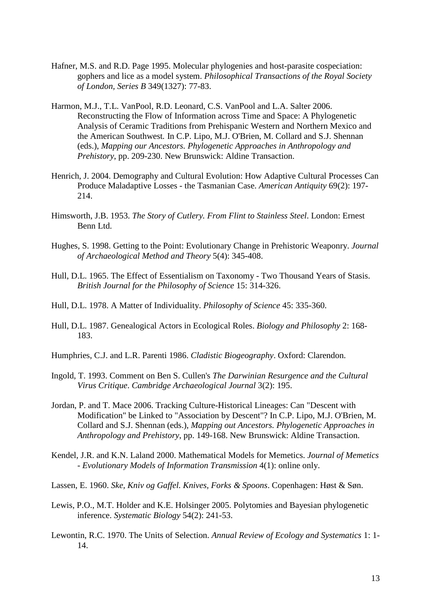- Hafner, M.S. and R.D. Page 1995. Molecular phylogenies and host-parasite cospeciation: gophers and lice as a model system. *Philosophical Transactions of the Royal Society of London, Series B* 349(1327): 77-83.
- Harmon, M.J., T.L. VanPool, R.D. Leonard, C.S. VanPool and L.A. Salter 2006. Reconstructing the Flow of Information across Time and Space: A Phylogenetic Analysis of Ceramic Traditions from Prehispanic Western and Northern Mexico and the American Southwest*.* In C.P. Lipo, M.J. O'Brien, M. Collard and S.J. Shennan (eds.), *Mapping our Ancestors. Phylogenetic Approaches in Anthropology and Prehistory*, pp. 209-230. New Brunswick: Aldine Transaction.
- Henrich, J. 2004. Demography and Cultural Evolution: How Adaptive Cultural Processes Can Produce Maladaptive Losses - the Tasmanian Case. *American Antiquity* 69(2): 197- 214.
- Himsworth, J.B. 1953. *The Story of Cutlery. From Flint to Stainless Steel*. London: Ernest Benn Ltd.
- Hughes, S. 1998. Getting to the Point: Evolutionary Change in Prehistoric Weaponry. *Journal of Archaeological Method and Theory* 5(4): 345-408.
- Hull, D.L. 1965. The Effect of Essentialism on Taxonomy Two Thousand Years of Stasis. *British Journal for the Philosophy of Science* 15: 314-326.
- Hull, D.L. 1978. A Matter of Individuality. *Philosophy of Science* 45: 335-360.
- Hull, D.L. 1987. Genealogical Actors in Ecological Roles. *Biology and Philosophy* 2: 168- 183.
- Humphries, C.J. and L.R. Parenti 1986. *Cladistic Biogeography*. Oxford: Clarendon.
- Ingold, T. 1993. Comment on Ben S. Cullen's *The Darwinian Resurgence and the Cultural Virus Critique*. *Cambridge Archaeological Journal* 3(2): 195.
- Jordan, P. and T. Mace 2006. Tracking Culture-Historical Lineages: Can "Descent with Modification" be Linked to "Association by Descent"? In C.P. Lipo, M.J. O'Brien, M. Collard and S.J. Shennan (eds.), *Mapping out Ancestors. Phylogenetic Approaches in Anthropology and Prehistory*, pp. 149-168. New Brunswick: Aldine Transaction.
- Kendel, J.R. and K.N. Laland 2000. Mathematical Models for Memetics. *Journal of Memetics - Evolutionary Models of Information Transmission* 4(1): online only.
- Lassen, E. 1960. *Ske, Kniv og Gaffel. Knives, Forks & Spoons*. Copenhagen: Høst & Søn.
- Lewis, P.O., M.T. Holder and K.E. Holsinger 2005. Polytomies and Bayesian phylogenetic inference. *Systematic Biology* 54(2): 241-53.
- Lewontin, R.C. 1970. The Units of Selection. *Annual Review of Ecology and Systematics* 1: 1- 14.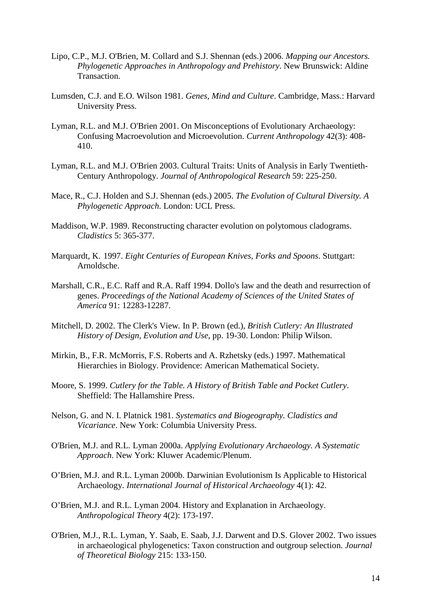- Lipo, C.P., M.J. O'Brien, M. Collard and S.J. Shennan (eds.) 2006. *Mapping our Ancestors. Phylogenetic Approaches in Anthropology and Prehistory*. New Brunswick: Aldine Transaction.
- Lumsden, C.J. and E.O. Wilson 1981. *Genes, Mind and Culture*. Cambridge, Mass.: Harvard University Press.
- Lyman, R.L. and M.J. O'Brien 2001. On Misconceptions of Evolutionary Archaeology: Confusing Macroevolution and Microevolution. *Current Anthropology* 42(3): 408- 410.
- Lyman, R.L. and M.J. O'Brien 2003. Cultural Traits: Units of Analysis in Early Twentieth-Century Anthropology. *Journal of Anthropological Research* 59: 225-250.
- Mace, R., C.J. Holden and S.J. Shennan (eds.) 2005. *The Evolution of Cultural Diversity. A Phylogenetic Approach*. London: UCL Press.
- Maddison, W.P. 1989. Reconstructing character evolution on polytomous cladograms. *Cladistics* 5: 365-377.
- Marquardt, K. 1997. *Eight Centuries of European Knives, Forks and Spoons*. Stuttgart: Arnoldsche.
- Marshall, C.R., E.C. Raff and R.A. Raff 1994. Dollo's law and the death and resurrection of genes. *Proceedings of the National Academy of Sciences of the United States of America* 91: 12283-12287.
- Mitchell, D. 2002. The Clerk's View*.* In P. Brown (ed.), *British Cutlery: An Illustrated History of Design, Evolution and Use*, pp. 19-30. London: Philip Wilson.
- Mirkin, B., F.R. McMorris, F.S. Roberts and A. Rzhetsky (eds.) 1997. Mathematical Hierarchies in Biology. Providence: American Mathematical Society.
- Moore, S. 1999. *Cutlery for the Table. A History of British Table and Pocket Cutlery*. Sheffield: The Hallamshire Press.
- Nelson, G. and N. I. Platnick 1981. *Systematics and Biogeography. Cladistics and Vicariance*. New York: Columbia University Press.
- O'Brien, M.J. and R.L. Lyman 2000a. *Applying Evolutionary Archaeology. A Systematic Approach*. New York: Kluwer Academic/Plenum.
- O'Brien, M.J. and R.L. Lyman 2000b. Darwinian Evolutionism Is Applicable to Historical Archaeology. *International Journal of Historical Archaeology* 4(1): 42.
- O'Brien, M.J. and R.L. Lyman 2004. History and Explanation in Archaeology. *Anthropological Theory* 4(2): 173-197.
- O'Brien, M.J., R.L. Lyman, Y. Saab, E. Saab, J.J. Darwent and D.S. Glover 2002. Two issues in archaeological phylogenetics: Taxon construction and outgroup selection. *Journal of Theoretical Biology* 215: 133-150.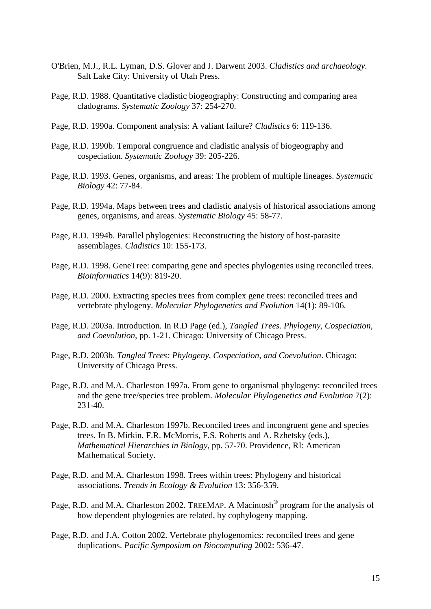- O'Brien, M.J., R.L. Lyman, D.S. Glover and J. Darwent 2003. *Cladistics and archaeology*. Salt Lake City: University of Utah Press.
- Page, R.D. 1988. Quantitative cladistic biogeography: Constructing and comparing area cladograms. *Systematic Zoology* 37: 254-270.
- Page, R.D. 1990a. Component analysis: A valiant failure? *Cladistics* 6: 119-136.
- Page, R.D. 1990b. Temporal congruence and cladistic analysis of biogeography and cospeciation. *Systematic Zoology* 39: 205-226.
- Page, R.D. 1993. Genes, organisms, and areas: The problem of multiple lineages. *Systematic Biology* 42: 77-84.
- Page, R.D. 1994a. Maps between trees and cladistic analysis of historical associations among genes, organisms, and areas. *Systematic Biology* 45: 58-77.
- Page, R.D. 1994b. Parallel phylogenies: Reconstructing the history of host-parasite assemblages. *Cladistics* 10: 155-173.
- Page, R.D. 1998. GeneTree: comparing gene and species phylogenies using reconciled trees. *Bioinformatics* 14(9): 819-20.
- Page, R.D. 2000. Extracting species trees from complex gene trees: reconciled trees and vertebrate phylogeny. *Molecular Phylogenetics and Evolution* 14(1): 89-106.
- Page, R.D. 2003a. Introduction*.* In R.D Page (ed.), *Tangled Trees. Phylogeny, Cospeciation, and Coevolution*, pp. 1-21. Chicago: University of Chicago Press.
- Page, R.D. 2003b. *Tangled Trees: Phylogeny, Cospeciation, and Coevolution*. Chicago: University of Chicago Press.
- Page, R.D. and M.A. Charleston 1997a. From gene to organismal phylogeny: reconciled trees and the gene tree/species tree problem. *Molecular Phylogenetics and Evolution* 7(2): 231-40.
- Page, R.D. and M.A. Charleston 1997b. Reconciled trees and incongruent gene and species trees*.* In B. Mirkin, F.R. McMorris, F.S. Roberts and A. Rzhetsky (eds.), *Mathematical Hierarchies in Biology*, pp. 57-70. Providence, RI: American Mathematical Society.
- Page, R.D. and M.A. Charleston 1998. Trees within trees: Phylogeny and historical associations. *Trends in Ecology & Evolution* 13: 356-359.
- Page, R.D. and M.A. Charleston 2002. TREEMAP. A Macintosh<sup>®</sup> program for the analysis of how dependent phylogenies are related, by cophylogeny mapping.
- Page, R.D. and J.A. Cotton 2002. Vertebrate phylogenomics: reconciled trees and gene duplications. *Pacific Symposium on Biocomputing* 2002: 536-47.